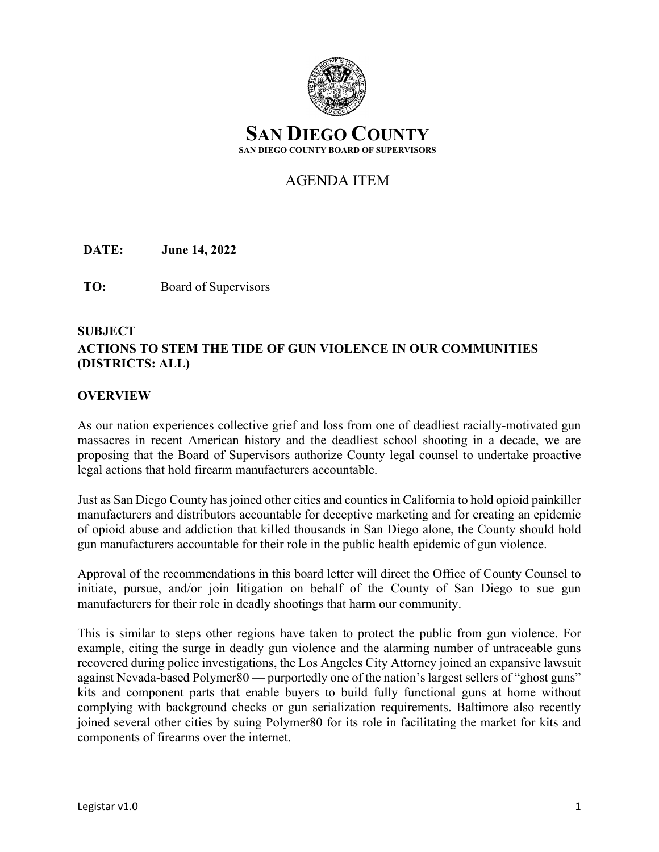

# AGENDA ITEM

**DATE:** June 14, 2022

**TO:** Board of Supervisors

# **SUBJECT ACTIONS TO STEM THE TIDE OF GUN VIOLENCE IN OUR COMMUNITIES (DISTRICTS: ALL)**

#### **OVERVIEW**

As our nation experiences collective grief and loss from one of deadliest racially-motivated gun massacres in recent American history and the deadliest school shooting in a decade, we are proposing that the Board of Supervisors authorize County legal counsel to undertake proactive legal actions that hold firearm manufacturers accountable.

Just as San Diego County has joined other cities and counties in California to hold opioid painkiller manufacturers and distributors accountable for deceptive marketing and for creating an epidemic of opioid abuse and addiction that killed thousands in San Diego alone, the County should hold gun manufacturers accountable for their role in the public health epidemic of gun violence.

Approval of the recommendations in this board letter will direct the Office of County Counsel to initiate, pursue, and/or join litigation on behalf of the County of San Diego to sue gun manufacturers for their role in deadly shootings that harm our community.

This is similar to steps other regions have taken to protect the public from gun violence. For example, citing the surge in deadly gun violence and the alarming number of untraceable guns recovered during police investigations, the Los Angeles City Attorney joined an expansive lawsuit against Nevada-based Polymer80 — purportedly one of the nation's largest sellers of "ghost guns" kits and component parts that enable buyers to build fully functional guns at home without complying with background checks or gun serialization requirements. Baltimore also recently joined several other cities by suing Polymer80 for its role in facilitating the market for kits and components of firearms over the internet.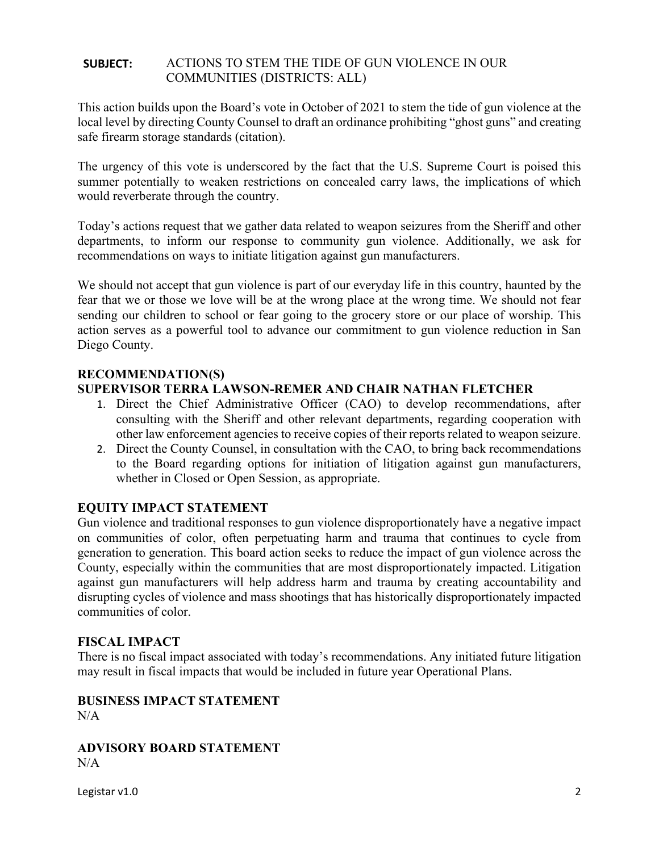#### **SUBJECT:** ACTIONS TO STEM THE TIDE OF GUN VIOLENCE IN OUR COMMUNITIES (DISTRICTS: ALL)

This action builds upon the Board's vote in October of 2021 to stem the tide of gun violence at the local level by directing County Counsel to draft an ordinance prohibiting "ghost guns" and creating safe firearm storage standards (citation).

The urgency of this vote is underscored by the fact that the U.S. Supreme Court is poised this summer potentially to weaken restrictions on concealed carry laws, the implications of which would reverberate through the country.

Today's actions request that we gather data related to weapon seizures from the Sheriff and other departments, to inform our response to community gun violence. Additionally, we ask for recommendations on ways to initiate litigation against gun manufacturers.

We should not accept that gun violence is part of our everyday life in this country, haunted by the fear that we or those we love will be at the wrong place at the wrong time. We should not fear sending our children to school or fear going to the grocery store or our place of worship. This action serves as a powerful tool to advance our commitment to gun violence reduction in San Diego County.

## **RECOMMENDATION(S)**

## **SUPERVISOR TERRA LAWSON-REMER AND CHAIR NATHAN FLETCHER**

- 1. Direct the Chief Administrative Officer (CAO) to develop recommendations, after consulting with the Sheriff and other relevant departments, regarding cooperation with other law enforcement agencies to receive copies of their reports related to weapon seizure.
- 2. Direct the County Counsel, in consultation with the CAO, to bring back recommendations to the Board regarding options for initiation of litigation against gun manufacturers, whether in Closed or Open Session, as appropriate.

## **EQUITY IMPACT STATEMENT**

Gun violence and traditional responses to gun violence disproportionately have a negative impact on communities of color, often perpetuating harm and trauma that continues to cycle from generation to generation. This board action seeks to reduce the impact of gun violence across the County, especially within the communities that are most disproportionately impacted. Litigation against gun manufacturers will help address harm and trauma by creating accountability and disrupting cycles of violence and mass shootings that has historically disproportionately impacted communities of color.

## **FISCAL IMPACT**

There is no fiscal impact associated with today's recommendations. Any initiated future litigation may result in fiscal impacts that would be included in future year Operational Plans.

## **BUSINESS IMPACT STATEMENT**  $N/A$

**ADVISORY BOARD STATEMENT** N/A

Legistar v1.0 2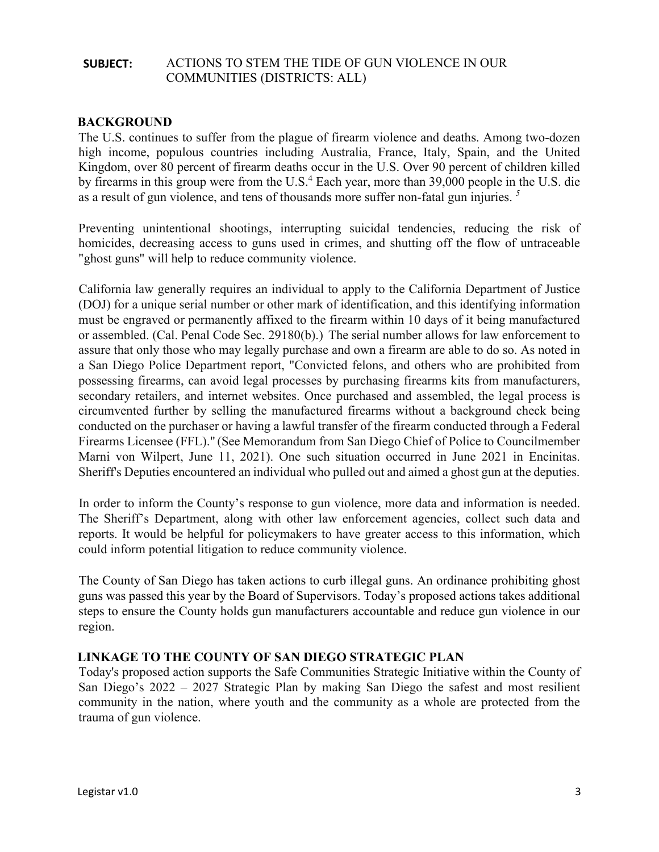#### **SUBJECT:** ACTIONS TO STEM THE TIDE OF GUN VIOLENCE IN OUR COMMUNITIES (DISTRICTS: ALL)

#### **BACKGROUND**

The U.S. continues to suffer from the plague of firearm violence and deaths. Among two-dozen high income, populous countries including Australia, France, Italy, Spain, and the United Kingdom, over 80 percent of firearm deaths occur in the U.S. Over 90 percent of children killed by firearms in this group were from the U.S.<sup>4</sup> Each year, more than 39,000 people in the U.S. die as a result of gun violence, and tens of thousands more suffer non-fatal gun injuries. *<sup>5</sup>*

Preventing unintentional shootings, interrupting suicidal tendencies, reducing the risk of homicides, decreasing access to guns used in crimes, and shutting off the flow of untraceable "ghost guns" will help to reduce community violence.

California law generally requires an individual to apply to the California Department of Justice (DOJ) for a unique serial number or other mark of identification, and this identifying information must be engraved or permanently affixed to the firearm within 10 days of it being manufactured or assembled. (Cal. Penal Code Sec. 29180(b).) The serial number allows for law enforcement to assure that only those who may legally purchase and own a firearm are able to do so. As noted in a San Diego Police Department report, "Convicted felons, and others who are prohibited from possessing firearms, can avoid legal processes by purchasing firearms kits from manufacturers, secondary retailers, and internet websites. Once purchased and assembled, the legal process is circumvented further by selling the manufactured firearms without a background check being conducted on the purchaser or having a lawful transfer of the firearm conducted through a Federal Firearms Licensee (FFL)." (See Memorandum from San Diego Chief of Police to Councilmember Marni von Wilpert, June 11, 2021). One such situation occurred in June 2021 in Encinitas. Sheriff's Deputies encountered an individual who pulled out and aimed a ghost gun at the deputies.

In order to inform the County's response to gun violence, more data and information is needed. The Sheriff's Department, along with other law enforcement agencies, collect such data and reports. It would be helpful for policymakers to have greater access to this information, which could inform potential litigation to reduce community violence.

The County of San Diego has taken actions to curb illegal guns. An ordinance prohibiting ghost guns was passed this year by the Board of Supervisors. Today's proposed actions takes additional steps to ensure the County holds gun manufacturers accountable and reduce gun violence in our region.

#### **LINKAGE TO THE COUNTY OF SAN DIEGO STRATEGIC PLAN**

Today's proposed action supports the Safe Communities Strategic Initiative within the County of San Diego's 2022 – 2027 Strategic Plan by making San Diego the safest and most resilient community in the nation, where youth and the community as a whole are protected from the trauma of gun violence.